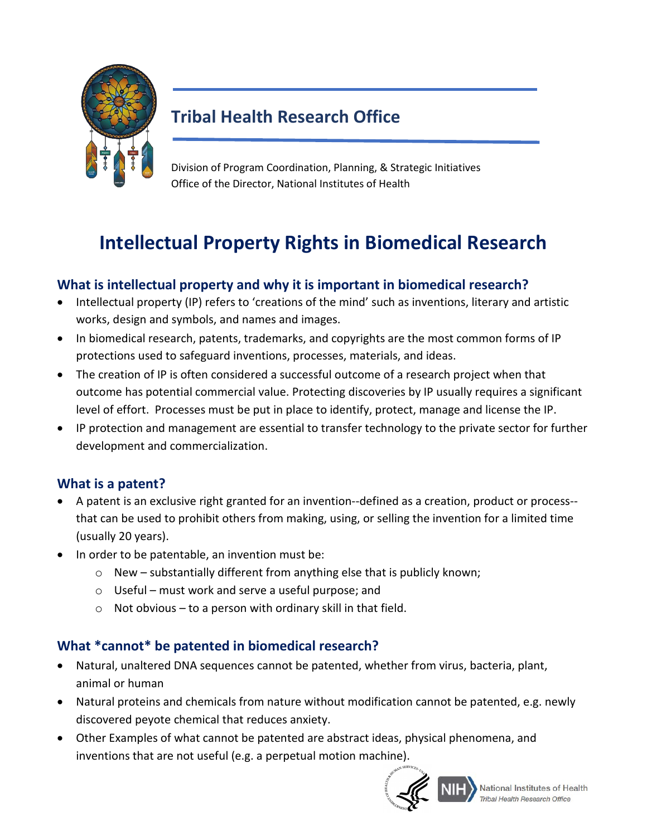

## **Tribal Health Research Office**

 Office of the Director, National Institutes of Health Division of Program Coordination, Planning, & Strategic Initiatives

# **Intellectual Property Rights in Biomedical Research**

### **What is intellectual property and why it is important in biomedical research?**

- • Intellectual property (IP) refers to 'creations of the mind' such as inventions, literary and artistic works, design and symbols, and names and images.
- • In biomedical research, patents, trademarks, and copyrights are the most common forms of IP protections used to safeguard inventions, processes, materials, and ideas.
- level of effort. Processes must be put in place to identify, protect, manage and license the IP. • The creation of IP is often considered a successful outcome of a research project when that outcome has potential commercial value. Protecting discoveries by IP usually requires a significant
- development and commercialization. • IP protection and management are essential to transfer technology to the private sector for further

#### **What is a patent?**

- • A patent is an exclusive right granted for an invention--defined as a creation, product or process- that can be used to prohibit others from making, using, or selling the invention for a limited time (usually 20 years).
- In order to be patentable, an invention must be:
	- o New substantially different from anything else that is publicly known;
	- o Useful must work and serve a useful purpose; and
	- $\circ$  Not obvious to a person with ordinary skill in that field.

#### **What \*cannot\* be patented in biomedical research?**

- animal or human • Natural, unaltered DNA sequences cannot be patented, whether from virus, bacteria, plant,
- Natural proteins and chemicals from nature without modification cannot be patented, e.g. newly discovered peyote chemical that reduces anxiety.
- • Other Examples of what cannot be patented are abstract ideas, physical phenomena, and inventions that are not useful (e.g. a perpetual motion machine).



National Institutes of Health Tribal Health Research Office